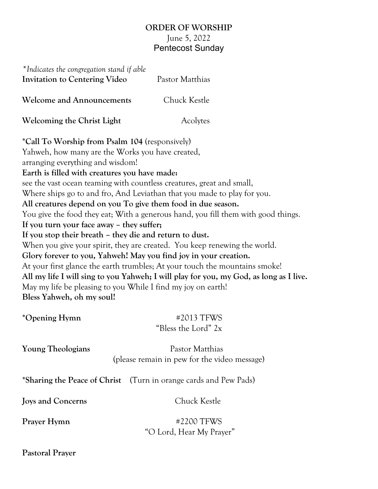## **ORDER OF WORSHIP** June 5, 2022 Pentecost Sunday

| *Indicates the congregation stand if able<br><b>Invitation to Centering Video</b>                                                                                                                                                                                                                                                                                                            | Pastor Matthias                                                                                                                                                                                                                                                                                                                                                                                                                                                                                                                                                                                                                 |
|----------------------------------------------------------------------------------------------------------------------------------------------------------------------------------------------------------------------------------------------------------------------------------------------------------------------------------------------------------------------------------------------|---------------------------------------------------------------------------------------------------------------------------------------------------------------------------------------------------------------------------------------------------------------------------------------------------------------------------------------------------------------------------------------------------------------------------------------------------------------------------------------------------------------------------------------------------------------------------------------------------------------------------------|
| <b>Welcome and Announcements</b>                                                                                                                                                                                                                                                                                                                                                             | Chuck Kestle                                                                                                                                                                                                                                                                                                                                                                                                                                                                                                                                                                                                                    |
| <b>Welcoming the Christ Light</b>                                                                                                                                                                                                                                                                                                                                                            | Acolytes                                                                                                                                                                                                                                                                                                                                                                                                                                                                                                                                                                                                                        |
| *Call To Worship from Psalm 104 (responsively)<br>Yahweh, how many are the Works you have created,<br>arranging everything and wisdom!<br>Earth is filled with creatures you have made:<br>If you turn your face away - they suffer;<br>If you stop their breath - they die and return to dust.<br>May my life be pleasing to you While I find my joy on earth!<br>Bless Yahweh, oh my soul! | see the vast ocean teaming with countless creatures, great and small,<br>Where ships go to and fro, And Leviathan that you made to play for you.<br>All creatures depend on you To give them food in due season.<br>You give the food they eat; With a generous hand, you fill them with good things.<br>When you give your spirit, they are created. You keep renewing the world.<br>Glory forever to you, Yahweh! May you find joy in your creation.<br>At your first glance the earth trumbles; At your touch the mountains smoke!<br>All my life I will sing to you Yahweh; I will play for you, my God, as long as I live. |
| *Opening Hymn                                                                                                                                                                                                                                                                                                                                                                                | #2013 TFWS<br>"Bless the Lord" 2x                                                                                                                                                                                                                                                                                                                                                                                                                                                                                                                                                                                               |
| <b>Young Theologians</b>                                                                                                                                                                                                                                                                                                                                                                     | Pastor Matthias<br>(please remain in pew for the video message)                                                                                                                                                                                                                                                                                                                                                                                                                                                                                                                                                                 |
|                                                                                                                                                                                                                                                                                                                                                                                              | *Sharing the Peace of Christ (Turn in orange cards and Pew Pads)                                                                                                                                                                                                                                                                                                                                                                                                                                                                                                                                                                |
| <b>Joys and Concerns</b>                                                                                                                                                                                                                                                                                                                                                                     | Chuck Kestle                                                                                                                                                                                                                                                                                                                                                                                                                                                                                                                                                                                                                    |
| Prayer Hymn                                                                                                                                                                                                                                                                                                                                                                                  | #2200 TFWS<br>"O Lord, Hear My Prayer"                                                                                                                                                                                                                                                                                                                                                                                                                                                                                                                                                                                          |

**Pastoral Prayer**